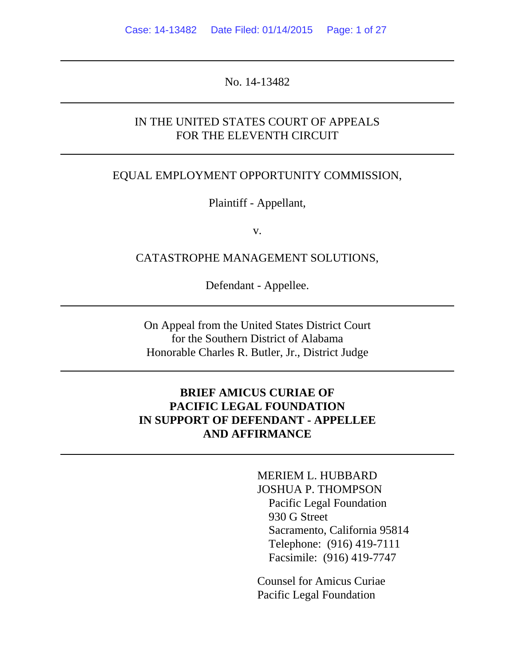No. 14-13482

## IN THE UNITED STATES COURT OF APPEALS FOR THE ELEVENTH CIRCUIT

#### EQUAL EMPLOYMENT OPPORTUNITY COMMISSION,

Plaintiff - Appellant,

v.

#### CATASTROPHE MANAGEMENT SOLUTIONS,

Defendant - Appellee.

On Appeal from the United States District Court for the Southern District of Alabama Honorable Charles R. Butler, Jr., District Judge

# **BRIEF AMICUS CURIAE OF PACIFIC LEGAL FOUNDATION IN SUPPORT OF DEFENDANT - APPELLEE AND AFFIRMANCE**

MERIEM L. HUBBARD JOSHUA P. THOMPSON Pacific Legal Foundation 930 G Street Sacramento, California 95814 Telephone: (916) 419-7111 Facsimile: (916) 419-7747

Counsel for Amicus Curiae Pacific Legal Foundation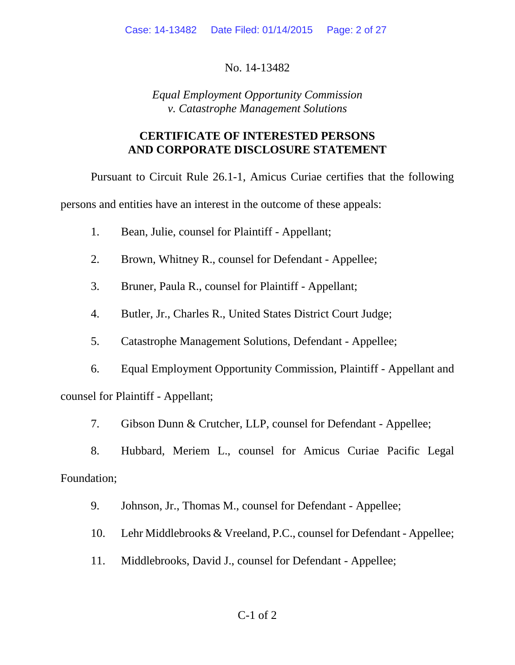No. 14-13482

*Equal Employment Opportunity Commission v. Catastrophe Management Solutions*

# **CERTIFICATE OF INTERESTED PERSONS AND CORPORATE DISCLOSURE STATEMENT**

Pursuant to Circuit Rule 26.1-1, Amicus Curiae certifies that the following

persons and entities have an interest in the outcome of these appeals:

- 1. Bean, Julie, counsel for Plaintiff Appellant;
- 2. Brown, Whitney R., counsel for Defendant Appellee;
- 3. Bruner, Paula R., counsel for Plaintiff Appellant;
- 4. Butler, Jr., Charles R., United States District Court Judge;
- 5. Catastrophe Management Solutions, Defendant Appellee;
- 6. Equal Employment Opportunity Commission, Plaintiff Appellant and counsel for Plaintiff - Appellant;
	- 7. Gibson Dunn & Crutcher, LLP, counsel for Defendant Appellee;
- 8. Hubbard, Meriem L., counsel for Amicus Curiae Pacific Legal Foundation;
	- 9. Johnson, Jr., Thomas M., counsel for Defendant Appellee;
	- 10. Lehr Middlebrooks & Vreeland, P.C., counsel for Defendant Appellee;
	- 11. Middlebrooks, David J., counsel for Defendant Appellee;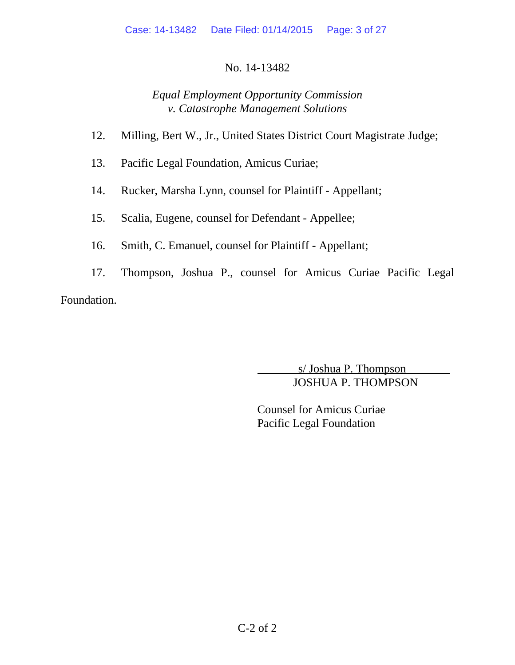# No. 14-13482

# *Equal Employment Opportunity Commission v. Catastrophe Management Solutions*

- 12. Milling, Bert W., Jr., United States District Court Magistrate Judge;
- 13. Pacific Legal Foundation, Amicus Curiae;
- 14. Rucker, Marsha Lynn, counsel for Plaintiff Appellant;
- 15. Scalia, Eugene, counsel for Defendant Appellee;
- 16. Smith, C. Emanuel, counsel for Plaintiff Appellant;
- 17. Thompson, Joshua P., counsel for Amicus Curiae Pacific Legal Foundation.

 s/ Joshua P. Thompson JOSHUA P. THOMPSON

Counsel for Amicus Curiae Pacific Legal Foundation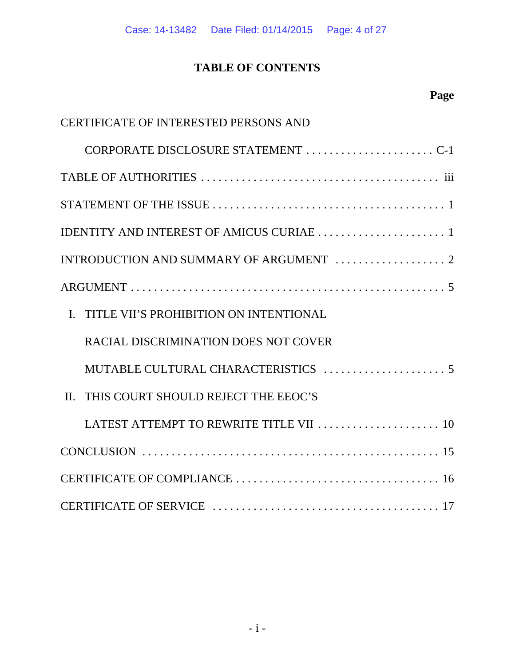# **TABLE OF CONTENTS**

| <b>CERTIFICATE OF INTERESTED PERSONS AND</b>   |
|------------------------------------------------|
| CORPORATE DISCLOSURE STATEMENT C-1             |
|                                                |
|                                                |
|                                                |
|                                                |
|                                                |
| I. TITLE VII'S PROHIBITION ON INTENTIONAL      |
| <b>RACIAL DISCRIMINATION DOES NOT COVER</b>    |
|                                                |
| THIS COURT SHOULD REJECT THE EEOC'S<br>$\Pi$ . |
| LATEST ATTEMPT TO REWRITE TITLE VII  10        |
|                                                |
|                                                |
|                                                |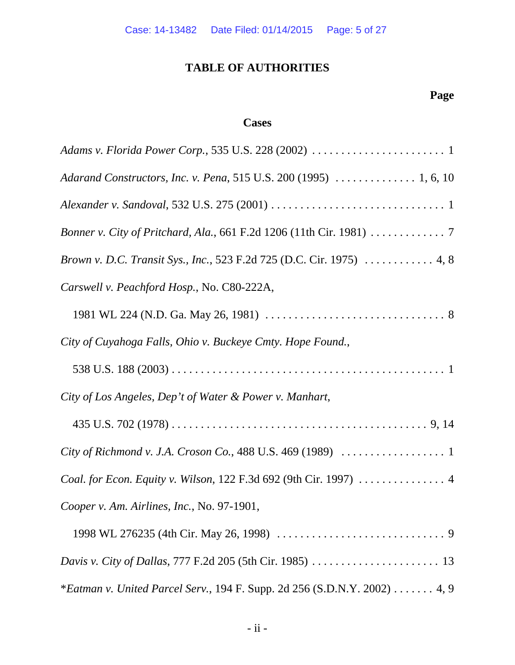# **TABLE OF AUTHORITIES**

# **Page**

# **Cases**

| Adarand Constructors, Inc. v. Pena, 515 U.S. 200 (1995)  1, 6, 10     |
|-----------------------------------------------------------------------|
|                                                                       |
| Bonner v. City of Pritchard, Ala., 661 F.2d 1206 (11th Cir. 1981) 7   |
| Brown v. D.C. Transit Sys., Inc., 523 F.2d 725 (D.C. Cir. 1975)  4, 8 |
| Carswell v. Peachford Hosp., No. C80-222A,                            |
|                                                                       |
| City of Cuyahoga Falls, Ohio v. Buckeye Cmty. Hope Found.,            |
|                                                                       |
| City of Los Angeles, Dep't of Water & Power v. Manhart,               |
|                                                                       |
|                                                                       |
| Coal. for Econ. Equity v. Wilson, 122 F.3d 692 (9th Cir. 1997)  4     |
| Cooper v. Am. Airlines, Inc., No. 97-1901,                            |
|                                                                       |
|                                                                       |
|                                                                       |

\**Eatman v. United Parcel Serv.*, 194 F. Supp. 2d 256 (S.D.N.Y. 2002) . . . . . . . 4, 9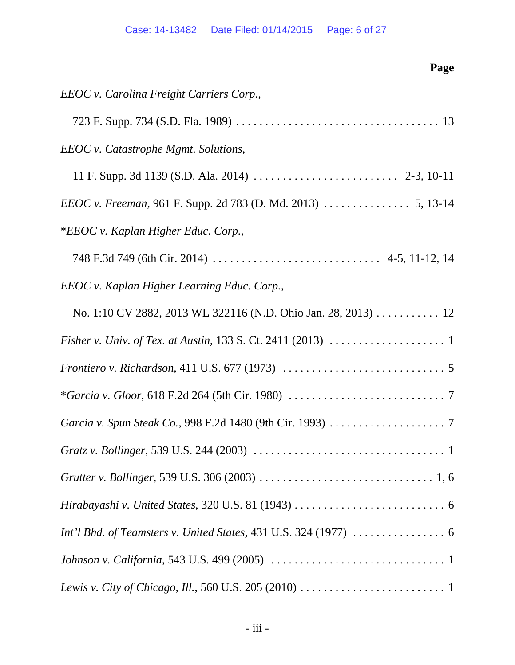| Page                                                                                                        |
|-------------------------------------------------------------------------------------------------------------|
| EEOC v. Carolina Freight Carriers Corp.,                                                                    |
|                                                                                                             |
| <b>EEOC</b> v. Catastrophe Mgmt. Solutions,                                                                 |
|                                                                                                             |
|                                                                                                             |
| *EEOC v. Kaplan Higher Educ. Corp.,                                                                         |
|                                                                                                             |
| EEOC v. Kaplan Higher Learning Educ. Corp.,                                                                 |
| No. 1:10 CV 2882, 2013 WL 322116 (N.D. Ohio Jan. 28, 2013) 12                                               |
| Fisher v. Univ. of Tex. at Austin, 133 S. Ct. 2411 (2013) $\ldots \ldots \ldots \ldots \ldots \ldots$       |
|                                                                                                             |
|                                                                                                             |
|                                                                                                             |
|                                                                                                             |
|                                                                                                             |
|                                                                                                             |
|                                                                                                             |
|                                                                                                             |
| Lewis v. City of Chicago, Ill., 560 U.S. 205 (2010) $\dots \dots \dots \dots \dots \dots \dots \dots \dots$ |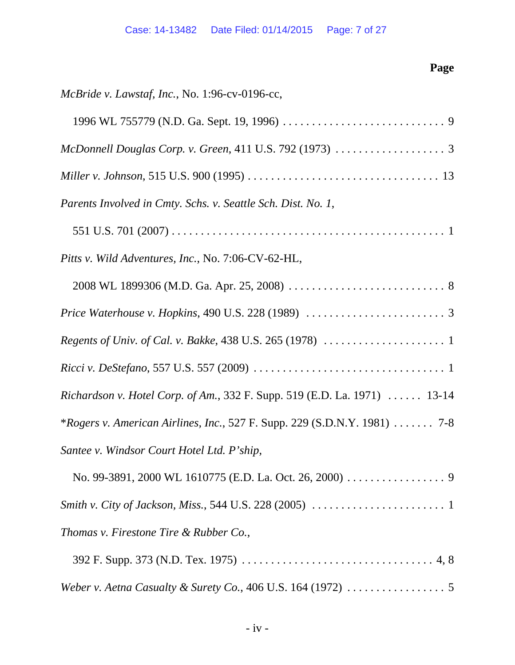| Page                                                                                       |  |
|--------------------------------------------------------------------------------------------|--|
| McBride v. Lawstaf, Inc., No. 1:96-cv-0196-cc,                                             |  |
|                                                                                            |  |
| McDonnell Douglas Corp. v. Green, 411 U.S. 792 (1973) $\ldots \ldots \ldots \ldots \ldots$ |  |
|                                                                                            |  |
| Parents Involved in Cmty. Schs. v. Seattle Sch. Dist. No. 1,                               |  |
|                                                                                            |  |
| Pitts v. Wild Adventures, Inc., No. 7:06-CV-62-HL,                                         |  |
|                                                                                            |  |
|                                                                                            |  |
|                                                                                            |  |
|                                                                                            |  |
| Richardson v. Hotel Corp. of Am., 332 F. Supp. 519 (E.D. La. 1971)  13-14                  |  |
| *Rogers v. American Airlines, Inc., 527 F. Supp. 229 (S.D.N.Y. 1981)  7-8                  |  |
| Santee v. Windsor Court Hotel Ltd. P'ship,                                                 |  |
|                                                                                            |  |
|                                                                                            |  |
| Thomas v. Firestone Tire & Rubber Co.,                                                     |  |
|                                                                                            |  |

| Weber v. Aetna Casualty & Surety Co., 406 U.S. 164 (1972) $\ldots \ldots \ldots \ldots \ldots$ |  |  |
|------------------------------------------------------------------------------------------------|--|--|
|------------------------------------------------------------------------------------------------|--|--|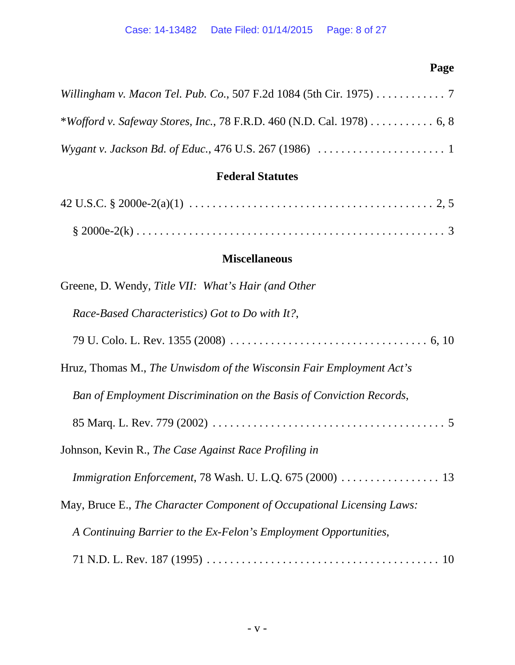# **Page**

| Willingham v. Macon Tel. Pub. Co., 507 F.2d 1084 (5th Cir. 1975) 7                                             |
|----------------------------------------------------------------------------------------------------------------|
| *Wofford v. Safeway Stores, Inc., 78 F.R.D. 460 (N.D. Cal. 1978) 6, 8                                          |
| <i>Wygant v. Jackson Bd. of Educ.</i> , 476 U.S. 267 (1986) $\ldots \ldots \ldots \ldots \ldots \ldots \ldots$ |

# **Federal Statutes**

# **Miscellaneous**

| Greene, D. Wendy, Title VII: What's Hair (and Other                    |
|------------------------------------------------------------------------|
| Race-Based Characteristics) Got to Do with It?,                        |
|                                                                        |
| Hruz, Thomas M., The Unwisdom of the Wisconsin Fair Employment Act's   |
| Ban of Employment Discrimination on the Basis of Conviction Records,   |
|                                                                        |
| Johnson, Kevin R., The Case Against Race Profiling in                  |
| Immigration Enforcement, 78 Wash. U. L.Q. 675 (2000)  13               |
| May, Bruce E., The Character Component of Occupational Licensing Laws: |
| A Continuing Barrier to the Ex-Felon's Employment Opportunities,       |
|                                                                        |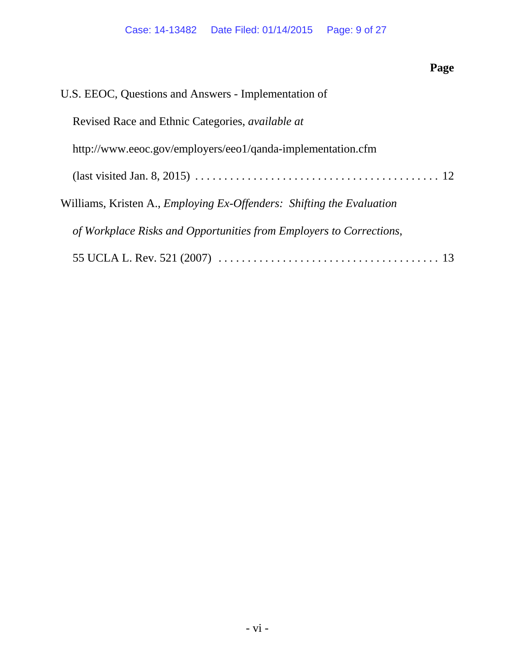**Page**

| U.S. EEOC, Questions and Answers - Implementation of                         |
|------------------------------------------------------------------------------|
| Revised Race and Ethnic Categories, <i>available at</i>                      |
| http://www.eeoc.gov/employers/eeo1/qanda-implementation.cfm                  |
|                                                                              |
| Williams, Kristen A., <i>Employing Ex-Offenders: Shifting the Evaluation</i> |
| of Workplace Risks and Opportunities from Employers to Corrections,          |
|                                                                              |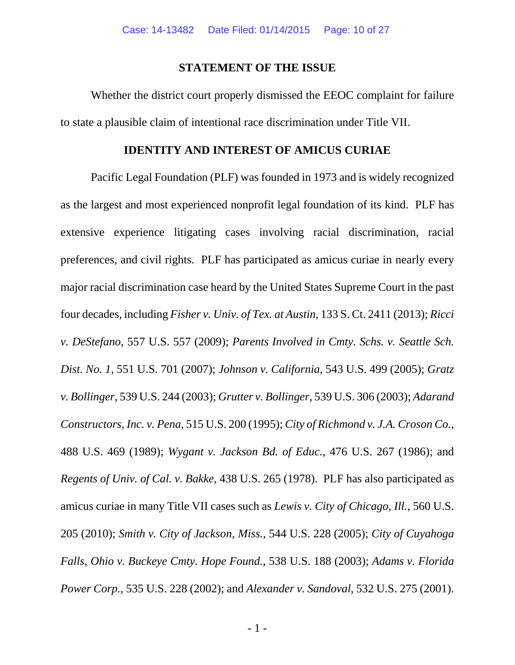### **STATEMENT OF THE ISSUE**

Whether the district court properly dismissed the EEOC complaint for failure to state a plausible claim of intentional race discrimination under Title VII.

### **IDENTITY AND INTEREST OF AMICUS CURIAE**

Pacific Legal Foundation (PLF) was founded in 1973 and is widely recognized as the largest and most experienced nonprofit legal foundation of its kind. PLF has extensive experience litigating cases involving racial discrimination, racial preferences, and civil rights. PLF has participated as amicus curiae in nearly every major racial discrimination case heard by the United States Supreme Court in the past four decades, including *Fisher v. Univ. of Tex. at Austin*, 133 S. Ct. 2411 (2013); *Ricci v. DeStefano*, 557 U.S. 557 (2009); *Parents Involved in Cmty. Schs. v. Seattle Sch. Dist. No. 1*, 551 U.S. 701 (2007); *Johnson v. California*, 543 U.S. 499 (2005); *Gratz v. Bollinger*, 539 U.S. 244 (2003); *Grutter v. Bollinger*, 539 U.S. 306 (2003); *Adarand Constructors, Inc. v. Pena*, 515 U.S. 200 (1995); *City of Richmond v. J.A. Croson Co.*, 488 U.S. 469 (1989); *Wygant v. Jackson Bd. of Educ.*, 476 U.S. 267 (1986); and *Regents of Univ. of Cal. v. Bakke*, 438 U.S. 265 (1978). PLF has also participated as amicus curiae in many Title VII cases such as *Lewis v. City of Chicago, Ill.*, 560 U.S. 205 (2010); *Smith v. City of Jackson, Miss.*, 544 U.S. 228 (2005); *City of Cuyahoga Falls, Ohio v. Buckeye Cmty. Hope Found.*, 538 U.S. 188 (2003); *Adams v. Florida Power Corp.*, 535 U.S. 228 (2002); and *Alexander v. Sandoval*, 532 U.S. 275 (2001).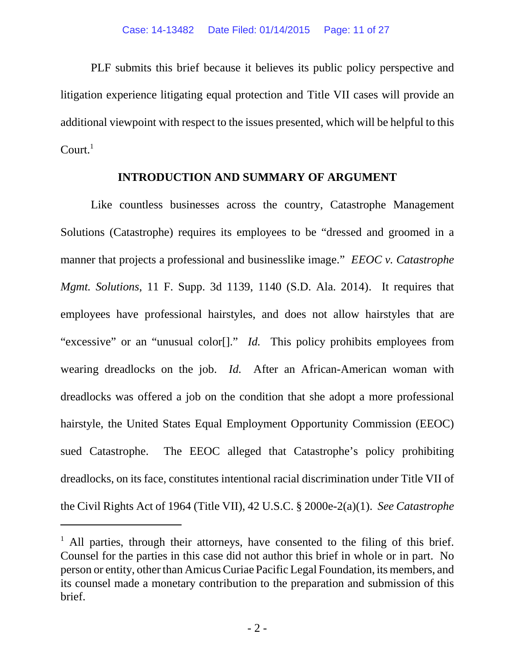PLF submits this brief because it believes its public policy perspective and litigation experience litigating equal protection and Title VII cases will provide an additional viewpoint with respect to the issues presented, which will be helpful to this  $Count<sup>1</sup>$ 

### **INTRODUCTION AND SUMMARY OF ARGUMENT**

Like countless businesses across the country, Catastrophe Management Solutions (Catastrophe) requires its employees to be "dressed and groomed in a manner that projects a professional and businesslike image." *EEOC v. Catastrophe Mgmt. Solutions*, 11 F. Supp. 3d 1139, 1140 (S.D. Ala. 2014). It requires that employees have professional hairstyles, and does not allow hairstyles that are "excessive" or an "unusual color[]." *Id.* This policy prohibits employees from wearing dreadlocks on the job. *Id.* After an African-American woman with dreadlocks was offered a job on the condition that she adopt a more professional hairstyle, the United States Equal Employment Opportunity Commission (EEOC) sued Catastrophe. The EEOC alleged that Catastrophe's policy prohibiting dreadlocks, on its face, constitutes intentional racial discrimination under Title VII of the Civil Rights Act of 1964 (Title VII), 42 U.S.C. § 2000e-2(a)(1). *See Catastrophe*

<sup>&</sup>lt;sup>1</sup> All parties, through their attorneys, have consented to the filing of this brief. Counsel for the parties in this case did not author this brief in whole or in part. No person or entity, other than Amicus Curiae Pacific Legal Foundation, its members, and its counsel made a monetary contribution to the preparation and submission of this brief.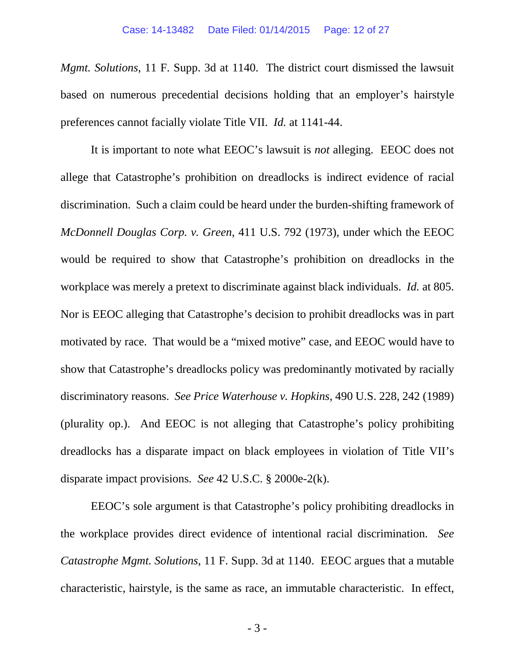*Mgmt. Solutions*, 11 F. Supp. 3d at 1140. The district court dismissed the lawsuit based on numerous precedential decisions holding that an employer's hairstyle preferences cannot facially violate Title VII. *Id.* at 1141-44.

It is important to note what EEOC's lawsuit is *not* alleging. EEOC does not allege that Catastrophe's prohibition on dreadlocks is indirect evidence of racial discrimination. Such a claim could be heard under the burden-shifting framework of *McDonnell Douglas Corp. v. Green*, 411 U.S. 792 (1973), under which the EEOC would be required to show that Catastrophe's prohibition on dreadlocks in the workplace was merely a pretext to discriminate against black individuals. *Id.* at 805. Nor is EEOC alleging that Catastrophe's decision to prohibit dreadlocks was in part motivated by race. That would be a "mixed motive" case, and EEOC would have to show that Catastrophe's dreadlocks policy was predominantly motivated by racially discriminatory reasons. *See Price Waterhouse v. Hopkins*, 490 U.S. 228, 242 (1989) (plurality op.). And EEOC is not alleging that Catastrophe's policy prohibiting dreadlocks has a disparate impact on black employees in violation of Title VII's disparate impact provisions. *See* 42 U.S.C. § 2000e-2(k).

EEOC's sole argument is that Catastrophe's policy prohibiting dreadlocks in the workplace provides direct evidence of intentional racial discrimination. *See Catastrophe Mgmt. Solutions*, 11 F. Supp. 3d at 1140. EEOC argues that a mutable characteristic, hairstyle, is the same as race, an immutable characteristic. In effect,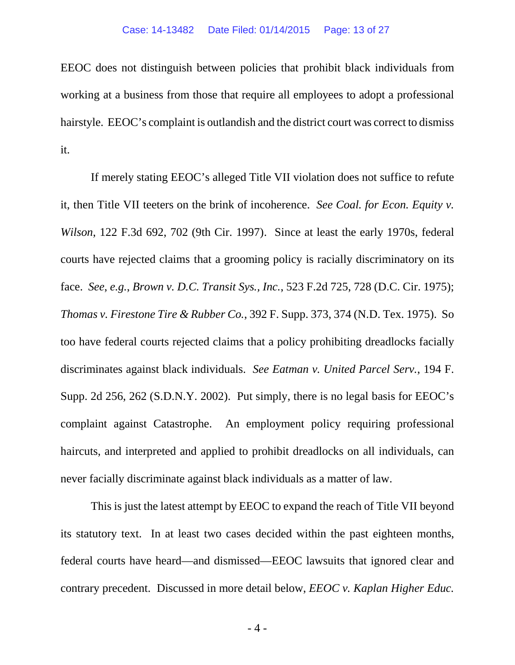EEOC does not distinguish between policies that prohibit black individuals from working at a business from those that require all employees to adopt a professional hairstyle. EEOC's complaint is outlandish and the district court was correct to dismiss it.

If merely stating EEOC's alleged Title VII violation does not suffice to refute it, then Title VII teeters on the brink of incoherence. *See Coal. for Econ. Equity v. Wilson*, 122 F.3d 692, 702 (9th Cir. 1997). Since at least the early 1970s, federal courts have rejected claims that a grooming policy is racially discriminatory on its face. *See*, *e.g.*, *Brown v. D.C. Transit Sys., Inc.*, 523 F.2d 725, 728 (D.C. Cir. 1975); *Thomas v. Firestone Tire & Rubber Co.*, 392 F. Supp. 373, 374 (N.D. Tex. 1975). So too have federal courts rejected claims that a policy prohibiting dreadlocks facially discriminates against black individuals. *See Eatman v. United Parcel Serv.*, 194 F. Supp. 2d 256, 262 (S.D.N.Y. 2002). Put simply, there is no legal basis for EEOC's complaint against Catastrophe. An employment policy requiring professional haircuts, and interpreted and applied to prohibit dreadlocks on all individuals, can never facially discriminate against black individuals as a matter of law.

This is just the latest attempt by EEOC to expand the reach of Title VII beyond its statutory text. In at least two cases decided within the past eighteen months, federal courts have heard—and dismissed—EEOC lawsuits that ignored clear and contrary precedent. Discussed in more detail below, *EEOC v. Kaplan Higher Educ.*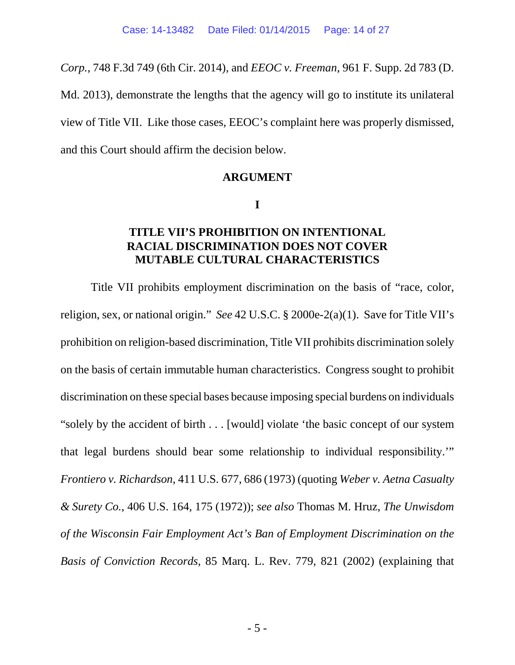*Corp.*, 748 F.3d 749 (6th Cir. 2014), and *EEOC v. Freeman*, 961 F. Supp. 2d 783 (D.

Md. 2013), demonstrate the lengths that the agency will go to institute its unilateral view of Title VII. Like those cases, EEOC's complaint here was properly dismissed, and this Court should affirm the decision below.

### **ARGUMENT**

**I**

# **TITLE VII'S PROHIBITION ON INTENTIONAL RACIAL DISCRIMINATION DOES NOT COVER MUTABLE CULTURAL CHARACTERISTICS**

Title VII prohibits employment discrimination on the basis of "race, color, religion, sex, or national origin." *See* 42 U.S.C. § 2000e-2(a)(1). Save for Title VII's prohibition on religion-based discrimination, Title VII prohibits discrimination solely on the basis of certain immutable human characteristics. Congress sought to prohibit discrimination on these special bases because imposing special burdens on individuals "solely by the accident of birth . . . [would] violate 'the basic concept of our system that legal burdens should bear some relationship to individual responsibility.'" *Frontiero v. Richardson*, 411 U.S. 677, 686 (1973) (quoting *Weber v. Aetna Casualty & Surety Co.*, 406 U.S. 164, 175 (1972)); *see also* Thomas M. Hruz, *The Unwisdom of the Wisconsin Fair Employment Act's Ban of Employment Discrimination on the Basis of Conviction Records*, 85 Marq. L. Rev. 779, 821 (2002) (explaining that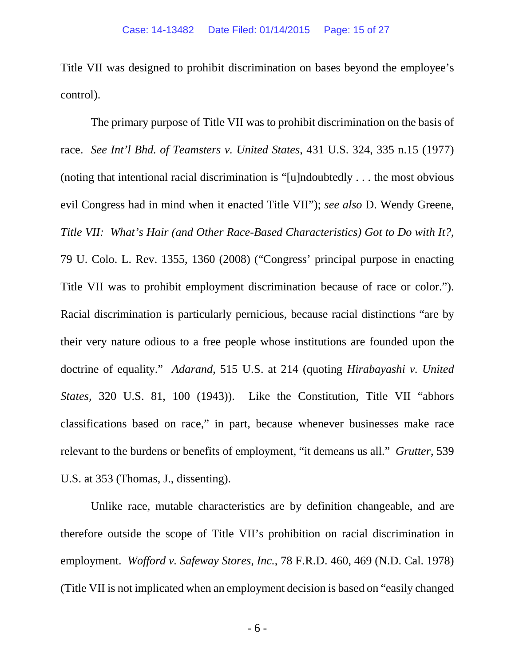Title VII was designed to prohibit discrimination on bases beyond the employee's control).

The primary purpose of Title VII was to prohibit discrimination on the basis of race. *See Int'l Bhd. of Teamsters v. United States*, 431 U.S. 324, 335 n.15 (1977) (noting that intentional racial discrimination is "[u]ndoubtedly . . . the most obvious evil Congress had in mind when it enacted Title VII"); *see also* D. Wendy Greene, *Title VII: What's Hair (and Other Race-Based Characteristics) Got to Do with It?*, 79 U. Colo. L. Rev. 1355, 1360 (2008) ("Congress' principal purpose in enacting Title VII was to prohibit employment discrimination because of race or color."). Racial discrimination is particularly pernicious, because racial distinctions "are by their very nature odious to a free people whose institutions are founded upon the doctrine of equality." *Adarand*, 515 U.S. at 214 (quoting *Hirabayashi v. United States*, 320 U.S. 81, 100 (1943)). Like the Constitution, Title VII "abhors classifications based on race," in part, because whenever businesses make race relevant to the burdens or benefits of employment, "it demeans us all." *Grutter*, 539 U.S. at 353 (Thomas, J., dissenting).

Unlike race, mutable characteristics are by definition changeable, and are therefore outside the scope of Title VII's prohibition on racial discrimination in employment. *Wofford v. Safeway Stores, Inc.*, 78 F.R.D. 460, 469 (N.D. Cal. 1978) (Title VII is not implicated when an employment decision is based on "easily changed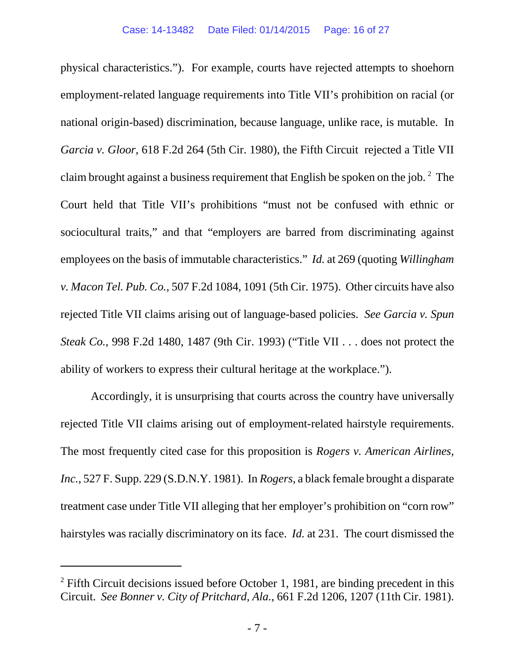physical characteristics."). For example, courts have rejected attempts to shoehorn employment-related language requirements into Title VII's prohibition on racial (or national origin-based) discrimination, because language, unlike race, is mutable. In *Garcia v. Gloor*, 618 F.2d 264 (5th Cir. 1980), the Fifth Circuit rejected a Title VII claim brought against a business requirement that English be spoken on the job.  $2$  The Court held that Title VII's prohibitions "must not be confused with ethnic or sociocultural traits," and that "employers are barred from discriminating against employees on the basis of immutable characteristics." *Id.* at 269 (quoting *Willingham v. Macon Tel. Pub. Co.*, 507 F.2d 1084, 1091 (5th Cir. 1975). Other circuits have also rejected Title VII claims arising out of language-based policies. *See Garcia v. Spun Steak Co.*, 998 F.2d 1480, 1487 (9th Cir. 1993) ("Title VII . . . does not protect the ability of workers to express their cultural heritage at the workplace.").

Accordingly, it is unsurprising that courts across the country have universally rejected Title VII claims arising out of employment-related hairstyle requirements. The most frequently cited case for this proposition is *Rogers v. American Airlines, Inc.*, 527 F. Supp. 229 (S.D.N.Y. 1981). In *Rogers*, a black female brought a disparate treatment case under Title VII alleging that her employer's prohibition on "corn row" hairstyles was racially discriminatory on its face. *Id.* at 231. The court dismissed the

 $2$  Fifth Circuit decisions issued before October 1, 1981, are binding precedent in this Circuit. *See Bonner v. City of Pritchard, Ala.*, 661 F.2d 1206, 1207 (11th Cir. 1981).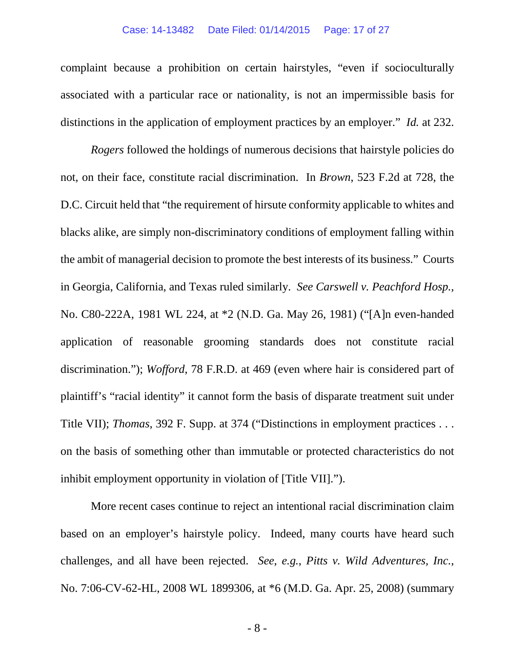#### Case: 14-13482 Date Filed: 01/14/2015 Page: 17 of 27

complaint because a prohibition on certain hairstyles, "even if socioculturally associated with a particular race or nationality, is not an impermissible basis for distinctions in the application of employment practices by an employer." *Id.* at 232.

*Rogers* followed the holdings of numerous decisions that hairstyle policies do not, on their face, constitute racial discrimination. In *Brown*, 523 F.2d at 728, the D.C. Circuit held that "the requirement of hirsute conformity applicable to whites and blacks alike, are simply non-discriminatory conditions of employment falling within the ambit of managerial decision to promote the best interests of its business." Courts in Georgia, California, and Texas ruled similarly. *See Carswell v. Peachford Hosp.*, No. C80-222A, 1981 WL 224, at \*2 (N.D. Ga. May 26, 1981) ("[A]n even-handed application of reasonable grooming standards does not constitute racial discrimination."); *Wofford*, 78 F.R.D. at 469 (even where hair is considered part of plaintiff's "racial identity" it cannot form the basis of disparate treatment suit under Title VII); *Thomas*, 392 F. Supp. at 374 ("Distinctions in employment practices . . . on the basis of something other than immutable or protected characteristics do not inhibit employment opportunity in violation of [Title VII].").

More recent cases continue to reject an intentional racial discrimination claim based on an employer's hairstyle policy. Indeed, many courts have heard such challenges, and all have been rejected. *See*, *e.g.*, *Pitts v. Wild Adventures, Inc.*, No. 7:06-CV-62-HL, 2008 WL 1899306, at \*6 (M.D. Ga. Apr. 25, 2008) (summary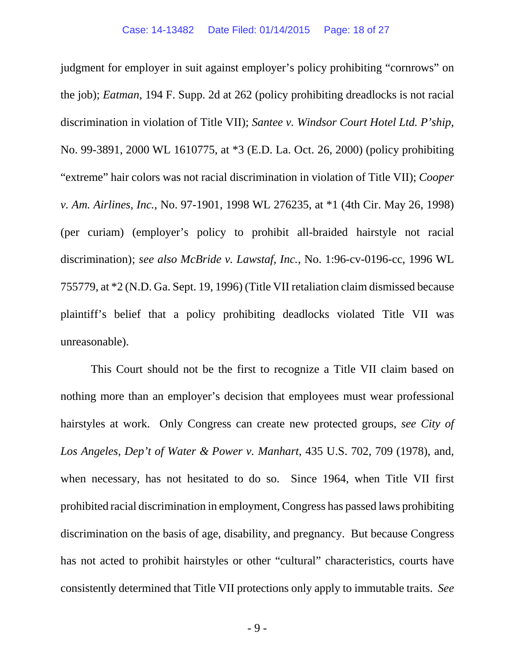judgment for employer in suit against employer's policy prohibiting "cornrows" on the job); *Eatman*, 194 F. Supp. 2d at 262 (policy prohibiting dreadlocks is not racial discrimination in violation of Title VII); *Santee v. Windsor Court Hotel Ltd. P'ship*, No. 99-3891, 2000 WL 1610775, at \*3 (E.D. La. Oct. 26, 2000) (policy prohibiting "extreme" hair colors was not racial discrimination in violation of Title VII); *Cooper v. Am. Airlines, Inc.*, No. 97-1901, 1998 WL 276235, at \*1 (4th Cir. May 26, 1998) (per curiam) (employer's policy to prohibit all-braided hairstyle not racial discrimination); *see also McBride v. Lawstaf, Inc.*, No. 1:96-cv-0196-cc, 1996 WL 755779, at \*2 (N.D. Ga. Sept. 19, 1996) (Title VII retaliation claim dismissed because plaintiff's belief that a policy prohibiting deadlocks violated Title VII was unreasonable).

This Court should not be the first to recognize a Title VII claim based on nothing more than an employer's decision that employees must wear professional hairstyles at work. Only Congress can create new protected groups, *see City of Los Angeles, Dep't of Water & Power v. Manhart*, 435 U.S. 702, 709 (1978), and, when necessary, has not hesitated to do so. Since 1964, when Title VII first prohibited racial discrimination in employment, Congress has passed laws prohibiting discrimination on the basis of age, disability, and pregnancy. But because Congress has not acted to prohibit hairstyles or other "cultural" characteristics, courts have consistently determined that Title VII protections only apply to immutable traits. *See*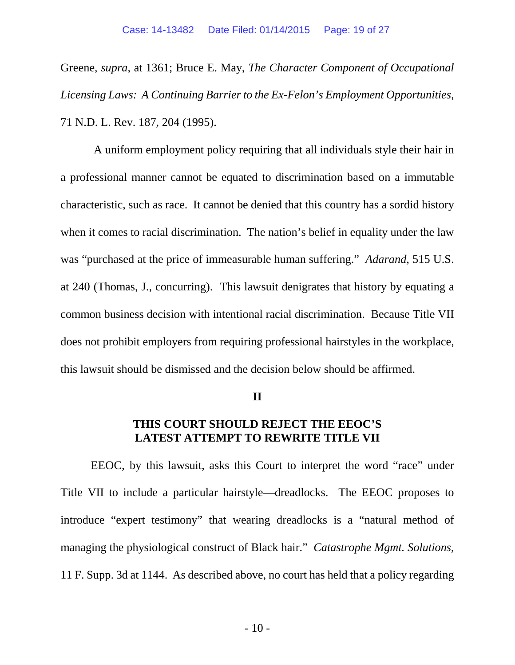Greene, *supra*, at 1361; Bruce E. May, *The Character Component of Occupational Licensing Laws: A Continuing Barrier to the Ex-Felon's Employment Opportunities*, 71 N.D. L. Rev. 187, 204 (1995).

 A uniform employment policy requiring that all individuals style their hair in a professional manner cannot be equated to discrimination based on a immutable characteristic, such as race. It cannot be denied that this country has a sordid history when it comes to racial discrimination. The nation's belief in equality under the law was "purchased at the price of immeasurable human suffering." *Adarand*, 515 U.S. at 240 (Thomas, J., concurring). This lawsuit denigrates that history by equating a common business decision with intentional racial discrimination. Because Title VII does not prohibit employers from requiring professional hairstyles in the workplace, this lawsuit should be dismissed and the decision below should be affirmed.

#### **II**

# **THIS COURT SHOULD REJECT THE EEOC'S LATEST ATTEMPT TO REWRITE TITLE VII**

EEOC, by this lawsuit, asks this Court to interpret the word "race" under Title VII to include a particular hairstyle—dreadlocks. The EEOC proposes to introduce "expert testimony" that wearing dreadlocks is a "natural method of managing the physiological construct of Black hair." *Catastrophe Mgmt. Solutions*, 11 F. Supp. 3d at 1144. As described above, no court has held that a policy regarding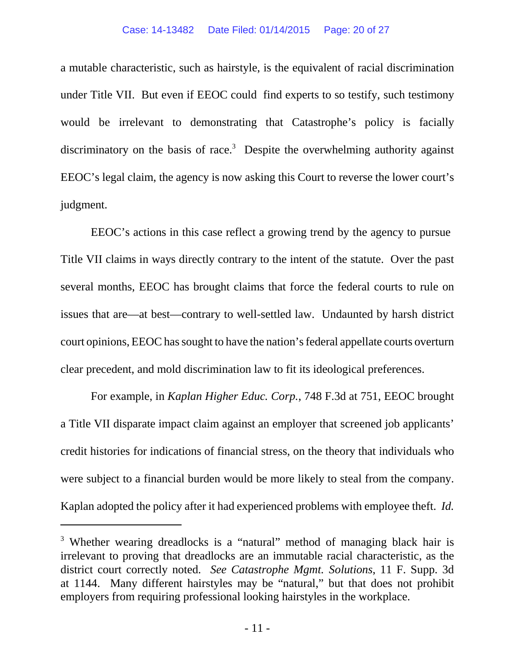#### Case: 14-13482 Date Filed: 01/14/2015 Page: 20 of 27

a mutable characteristic, such as hairstyle, is the equivalent of racial discrimination under Title VII. But even if EEOC could find experts to so testify, such testimony would be irrelevant to demonstrating that Catastrophe's policy is facially discriminatory on the basis of race.<sup>3</sup> Despite the overwhelming authority against EEOC's legal claim, the agency is now asking this Court to reverse the lower court's judgment.

EEOC's actions in this case reflect a growing trend by the agency to pursue Title VII claims in ways directly contrary to the intent of the statute. Over the past several months, EEOC has brought claims that force the federal courts to rule on issues that are—at best—contrary to well-settled law. Undaunted by harsh district court opinions, EEOC has sought to have the nation's federal appellate courts overturn clear precedent, and mold discrimination law to fit its ideological preferences.

For example, in *Kaplan Higher Educ. Corp.*, 748 F.3d at 751, EEOC brought a Title VII disparate impact claim against an employer that screened job applicants' credit histories for indications of financial stress, on the theory that individuals who were subject to a financial burden would be more likely to steal from the company. Kaplan adopted the policy after it had experienced problems with employee theft. *Id.*

<sup>&</sup>lt;sup>3</sup> Whether wearing dreadlocks is a "natural" method of managing black hair is irrelevant to proving that dreadlocks are an immutable racial characteristic, as the district court correctly noted. *See Catastrophe Mgmt. Solutions*, 11 F. Supp. 3d at 1144. Many different hairstyles may be "natural," but that does not prohibit employers from requiring professional looking hairstyles in the workplace.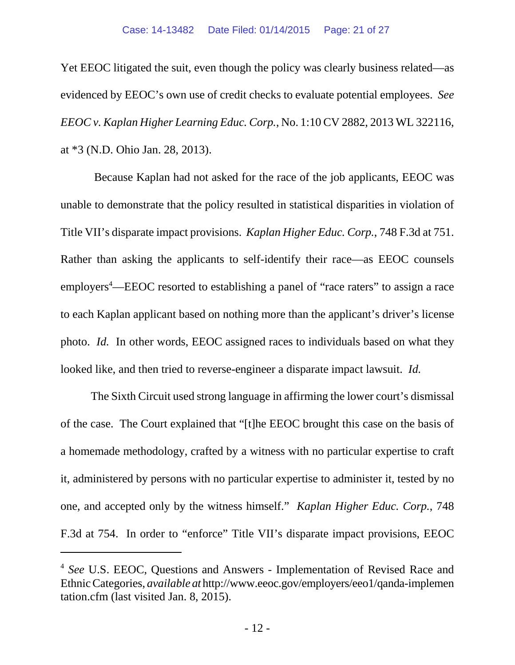Yet EEOC litigated the suit, even though the policy was clearly business related—as evidenced by EEOC's own use of credit checks to evaluate potential employees. *See EEOC v. Kaplan Higher Learning Educ. Corp.*, No. 1:10 CV 2882, 2013 WL 322116, at \*3 (N.D. Ohio Jan. 28, 2013).

 Because Kaplan had not asked for the race of the job applicants, EEOC was unable to demonstrate that the policy resulted in statistical disparities in violation of Title VII's disparate impact provisions. *Kaplan Higher Educ. Corp.*, 748 F.3d at 751. Rather than asking the applicants to self-identify their race—as EEOC counsels employers<sup>4</sup>—EEOC resorted to establishing a panel of "race raters" to assign a race to each Kaplan applicant based on nothing more than the applicant's driver's license photo. *Id.* In other words, EEOC assigned races to individuals based on what they looked like, and then tried to reverse-engineer a disparate impact lawsuit. *Id.*

The Sixth Circuit used strong language in affirming the lower court's dismissal of the case. The Court explained that "[t]he EEOC brought this case on the basis of a homemade methodology, crafted by a witness with no particular expertise to craft it, administered by persons with no particular expertise to administer it, tested by no one, and accepted only by the witness himself." *Kaplan Higher Educ. Corp.*, 748 F.3d at 754. In order to "enforce" Title VII's disparate impact provisions, EEOC

<sup>4</sup> *See* U.S. EEOC, Questions and Answers - Implementation of Revised Race and Ethnic Categories, *available at* http://www.eeoc.gov/employers/eeo1/qanda-implemen tation.cfm (last visited Jan. 8, 2015).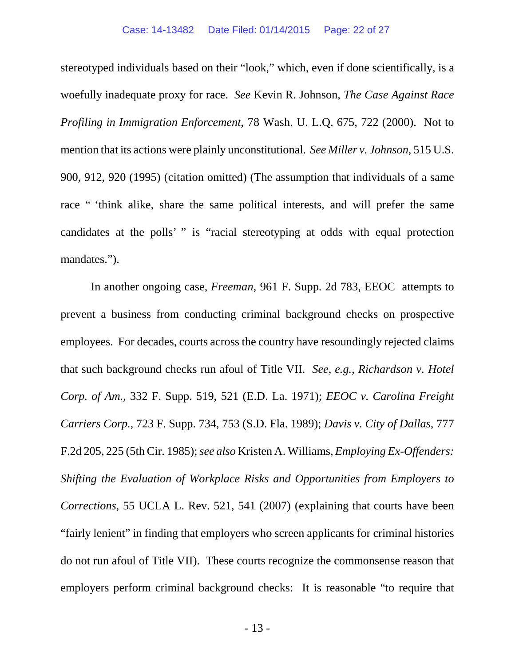stereotyped individuals based on their "look," which, even if done scientifically, is a woefully inadequate proxy for race. *See* Kevin R. Johnson, *The Case Against Race Profiling in Immigration Enforcement*, 78 Wash. U. L.Q. 675, 722 (2000). Not to mention that its actions were plainly unconstitutional. *See Miller v. Johnson*, 515 U.S. 900, 912, 920 (1995) (citation omitted) (The assumption that individuals of a same race " 'think alike, share the same political interests, and will prefer the same candidates at the polls' " is "racial stereotyping at odds with equal protection mandates.").

In another ongoing case, *Freeman*, 961 F. Supp. 2d 783, EEOC attempts to prevent a business from conducting criminal background checks on prospective employees. For decades, courts across the country have resoundingly rejected claims that such background checks run afoul of Title VII. *See*, *e.g.*, *Richardson v. Hotel Corp. of Am.*, 332 F. Supp. 519, 521 (E.D. La. 1971); *EEOC v. Carolina Freight Carriers Corp.*, 723 F. Supp. 734, 753 (S.D. Fla. 1989); *Davis v. City of Dallas*, 777 F.2d 205, 225 (5th Cir. 1985); *see also* Kristen A. Williams, *Employing Ex-Offenders: Shifting the Evaluation of Workplace Risks and Opportunities from Employers to Corrections*, 55 UCLA L. Rev. 521, 541 (2007) (explaining that courts have been "fairly lenient" in finding that employers who screen applicants for criminal histories do not run afoul of Title VII). These courts recognize the commonsense reason that employers perform criminal background checks: It is reasonable "to require that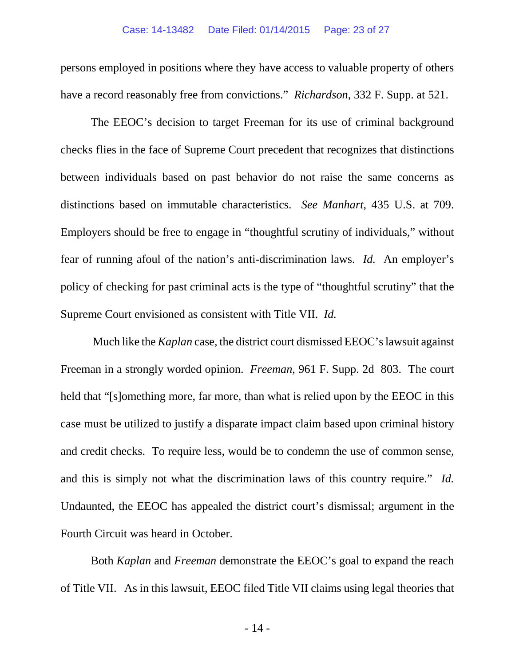persons employed in positions where they have access to valuable property of others have a record reasonably free from convictions." *Richardson*, 332 F. Supp. at 521.

The EEOC's decision to target Freeman for its use of criminal background checks flies in the face of Supreme Court precedent that recognizes that distinctions between individuals based on past behavior do not raise the same concerns as distinctions based on immutable characteristics. *See Manhart*, 435 U.S. at 709. Employers should be free to engage in "thoughtful scrutiny of individuals," without fear of running afoul of the nation's anti-discrimination laws. *Id.* An employer's policy of checking for past criminal acts is the type of "thoughtful scrutiny" that the Supreme Court envisioned as consistent with Title VII. *Id.*

 Much like the *Kaplan* case, the district court dismissed EEOC's lawsuit against Freeman in a strongly worded opinion. *Freeman*, 961 F. Supp. 2d 803. The court held that "[s]omething more, far more, than what is relied upon by the EEOC in this case must be utilized to justify a disparate impact claim based upon criminal history and credit checks. To require less, would be to condemn the use of common sense, and this is simply not what the discrimination laws of this country require." *Id.* Undaunted, the EEOC has appealed the district court's dismissal; argument in the Fourth Circuit was heard in October.

Both *Kaplan* and *Freeman* demonstrate the EEOC's goal to expand the reach of Title VII. As in this lawsuit, EEOC filed Title VII claims using legal theories that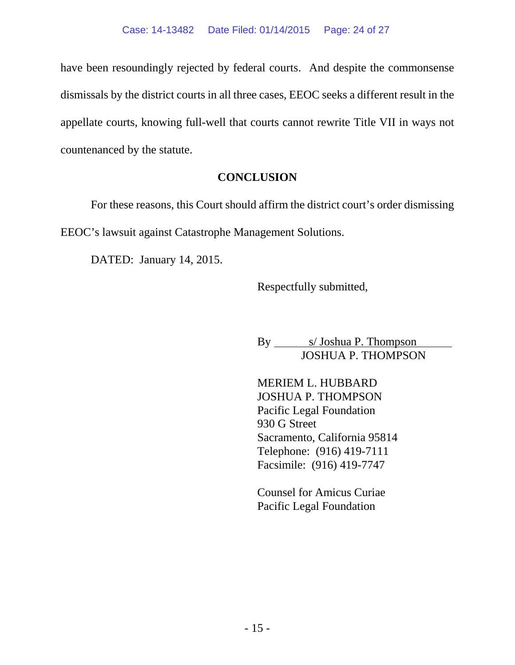have been resoundingly rejected by federal courts. And despite the commonsense dismissals by the district courts in all three cases, EEOC seeks a different result in the appellate courts, knowing full-well that courts cannot rewrite Title VII in ways not countenanced by the statute.

# **CONCLUSION**

For these reasons, this Court should affirm the district court's order dismissing EEOC's lawsuit against Catastrophe Management Solutions.

DATED: January 14, 2015.

Respectfully submitted,

By s/ Joshua P. Thompson JOSHUA P. THOMPSON

MERIEM L. HUBBARD JOSHUA P. THOMPSON Pacific Legal Foundation 930 G Street Sacramento, California 95814 Telephone: (916) 419-7111 Facsimile: (916) 419-7747

Counsel for Amicus Curiae Pacific Legal Foundation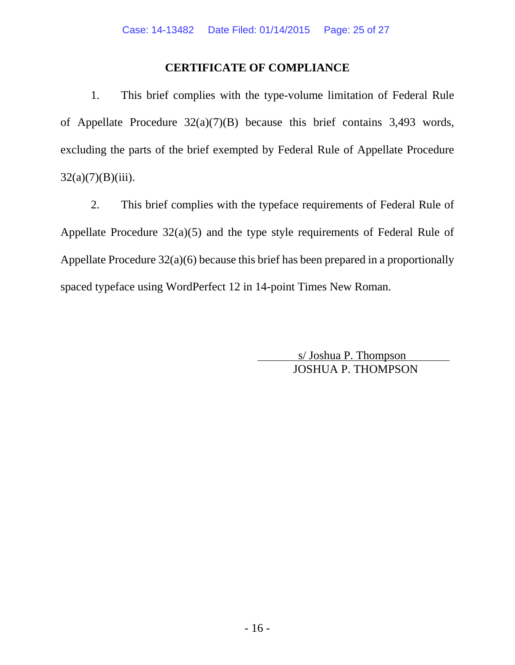# **CERTIFICATE OF COMPLIANCE**

1. This brief complies with the type-volume limitation of Federal Rule of Appellate Procedure 32(a)(7)(B) because this brief contains 3,493 words, excluding the parts of the brief exempted by Federal Rule of Appellate Procedure  $32(a)(7)(B)(iii)$ .

2. This brief complies with the typeface requirements of Federal Rule of Appellate Procedure 32(a)(5) and the type style requirements of Federal Rule of Appellate Procedure 32(a)(6) because this brief has been prepared in a proportionally spaced typeface using WordPerfect 12 in 14-point Times New Roman.

> s/ Joshua P. Thompson JOSHUA P. THOMPSON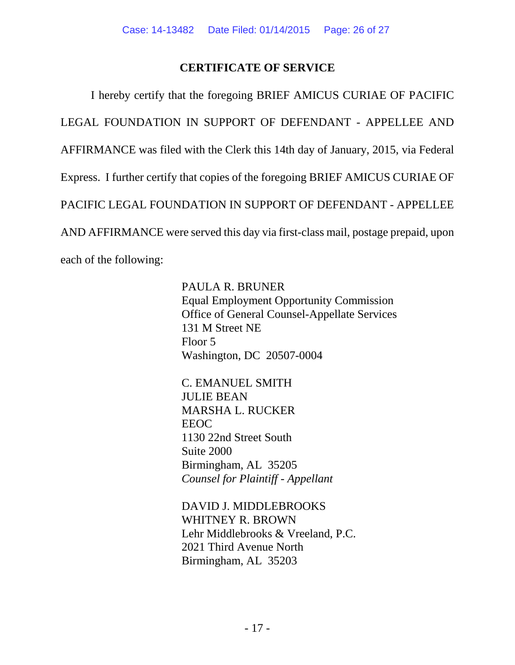# **CERTIFICATE OF SERVICE**

I hereby certify that the foregoing BRIEF AMICUS CURIAE OF PACIFIC LEGAL FOUNDATION IN SUPPORT OF DEFENDANT - APPELLEE AND AFFIRMANCE was filed with the Clerk this 14th day of January, 2015, via Federal Express. I further certify that copies of the foregoing BRIEF AMICUS CURIAE OF PACIFIC LEGAL FOUNDATION IN SUPPORT OF DEFENDANT - APPELLEE AND AFFIRMANCE were served this day via first-class mail, postage prepaid, upon each of the following:

> PAULA R. BRUNER Equal Employment Opportunity Commission Office of General Counsel-Appellate Services 131 M Street NE Floor 5 Washington, DC 20507-0004

C. EMANUEL SMITH JULIE BEAN MARSHA L. RUCKER EEOC 1130 22nd Street South Suite 2000 Birmingham, AL 35205 *Counsel for Plaintiff - Appellant*

DAVID J. MIDDLEBROOKS WHITNEY R. BROWN Lehr Middlebrooks & Vreeland, P.C. 2021 Third Avenue North Birmingham, AL 35203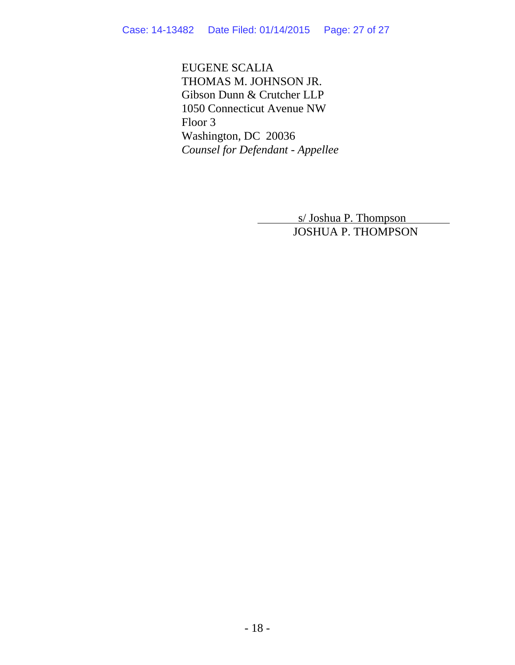EUGENE SCALIA THOMAS M. JOHNSON JR. Gibson Dunn & Crutcher LLP 1050 Connecticut Avenue NW Floor 3 Washington, DC 20036 *Counsel for Defendant - Appellee*

> s/ Joshua P. Thompson JOSHUA P. THOMPSON